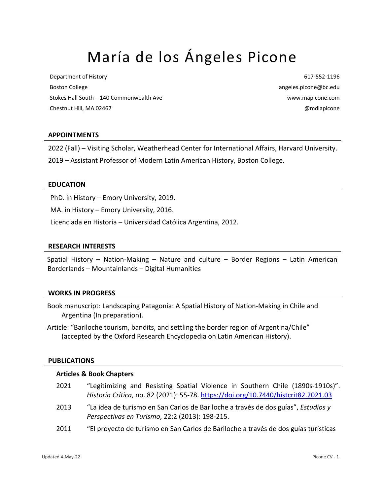# María de los Ángeles Picone

Department of History Boston College Stokes Hall South – 140 Commonwealth Ave Chestnut Hill, MA 02467

617-552-1196 angeles.picone@bc.edu www.mapicone.com @mdlapicone

## **APPOINTMENTS**

2022 (Fall) – Visiting Scholar, Weatherhead Center for International Affairs, Harvard University.

2019 – Assistant Professor of Modern Latin American History, Boston College.

#### **EDUCATION**

PhD. in History – Emory University, 2019.

MA. in History – Emory University, 2016.

Licenciada en Historia – Universidad Católica Argentina, 2012.

#### **RESEARCH INTERESTS**

Spatial History – Nation-Making – Nature and culture – Border Regions – Latin American Borderlands – Mountainlands – Digital Humanities

#### **WORKS IN PROGRESS**

- Book manuscript: Landscaping Patagonia: A Spatial History of Nation-Making in Chile and Argentina (In preparation).
- Article: "Bariloche tourism, bandits, and settling the border region of Argentina/Chile" (accepted by the Oxford Research Encyclopedia on Latin American History).

#### **PUBLICATIONS**

#### **Articles & Book Chapters**

| 2021 | "Legitimizing and Resisting Spatial Violence in Southern Chile (1890s-1910s)".<br>Historia Crítica, no. 82 (2021): 55-78. https://doi.org/10.7440/histcrit82.2021.03 |
|------|----------------------------------------------------------------------------------------------------------------------------------------------------------------------|
| 2013 | "La idea de turismo en San Carlos de Bariloche a través de dos guías", Estudios y<br>Perspectivas en Turismo, 22:2 (2013): 198-215.                                  |
| 2011 | "El proyecto de turismo en San Carlos de Bariloche a través de dos guías turísticas                                                                                  |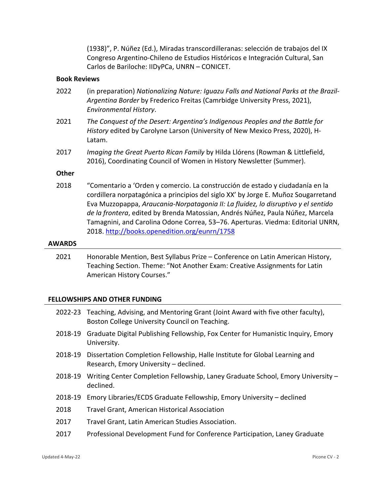(1938)", P. Núñez (Ed.), Miradas transcordilleranas: selección de trabajos del IX Congreso Argentino-Chileno de Estudios Históricos e Integración Cultural, San Carlos de Bariloche: IIDyPCa, UNRN – CONICET.

# **Book Reviews**

- 2022 (in preparation) *Nationalizing Nature: Iguazu Falls and National Parks at the Brazil-Argentina Border* by Frederico Freitas (Camrbidge University Press, 2021), *Environmental History*.
- 2021 *The Conquest of the Desert: Argentina's Indigenous Peoples and the Battle for History* edited by Carolyne Larson (University of New Mexico Press, 2020), H-Latam.
- 2017 *Imaging the Great Puerto Rican Family* by Hilda Llórens (Rowman & Littlefield, 2016), Coordinating Council of Women in History Newsletter (Summer).

## **Other**

2018 "Comentario a 'Orden y comercio. La construcción de estado y ciudadanía en la cordillera norpatagónica a principios del siglo XX' by Jorge E. Muñoz Sougarretand Eva Muzzopappa, *Araucania-Norpatagonia II: La fluidez, lo disruptivo y el sentido de la frontera*, edited by Brenda Matossian, Andrés Núñez, Paula Núñez, Marcela Tamagnini, and Carolina Odone Correa, 53–76. Aperturas. Viedma: Editorial UNRN, 2018. http://books.openedition.org/eunrn/1758

#### **AWARDS**

2021 Honorable Mention, Best Syllabus Prize – Conference on Latin American History, Teaching Section. Theme: "Not Another Exam: Creative Assignments for Latin American History Courses."

# **FELLOWSHIPS AND OTHER FUNDING**

|         | 2022-23 Teaching, Advising, and Mentoring Grant (Joint Award with five other faculty),<br>Boston College University Council on Teaching. |
|---------|------------------------------------------------------------------------------------------------------------------------------------------|
| 2018-19 | Graduate Digital Publishing Fellowship, Fox Center for Humanistic Inquiry, Emory<br>University.                                          |
| 2018-19 | Dissertation Completion Fellowship, Halle Institute for Global Learning and<br>Research, Emory University – declined.                    |
| 2018-19 | Writing Center Completion Fellowship, Laney Graduate School, Emory University -<br>declined.                                             |
| 2018-19 | Emory Libraries/ECDS Graduate Fellowship, Emory University - declined                                                                    |
| 2018    | <b>Travel Grant, American Historical Association</b>                                                                                     |
| 2017    | Travel Grant, Latin American Studies Association.                                                                                        |
| 2017    | Professional Development Fund for Conference Participation, Laney Graduate                                                               |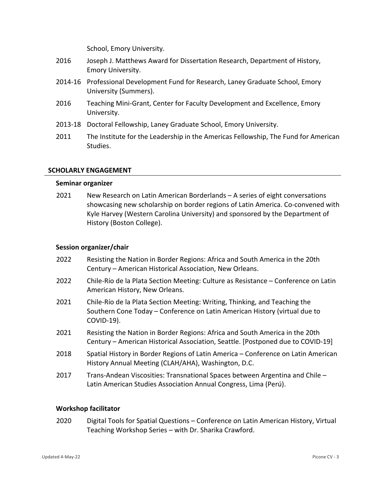School, Emory University.

- 2016 Joseph J. Matthews Award for Dissertation Research, Department of History, Emory University.
- 2014-16 Professional Development Fund for Research, Laney Graduate School, Emory University (Summers).
- 2016 Teaching Mini-Grant, Center for Faculty Development and Excellence, Emory University.
- 2013-18 Doctoral Fellowship, Laney Graduate School, Emory University.
- 2011 The Institute for the Leadership in the Americas Fellowship, The Fund for American Studies.

# **SCHOLARLY ENGAGEMENT**

## **Seminar organizer**

2021 New Research on Latin American Borderlands – A series of eight conversations showcasing new scholarship on border regions of Latin America. Co-convened with Kyle Harvey (Western Carolina University) and sponsored by the Department of History (Boston College).

## **Session organizer/chair**

- 2022 Resisting the Nation in Border Regions: Africa and South America in the 20th Century – American Historical Association, New Orleans.
- 2022 Chile-Río de la Plata Section Meeting: Culture as Resistance Conference on Latin American History, New Orleans.
- 2021 Chile-Río de la Plata Section Meeting: Writing, Thinking, and Teaching the Southern Cone Today – Conference on Latin American History (virtual due to COVID-19).
- 2021 Resisting the Nation in Border Regions: Africa and South America in the 20th Century – American Historical Association, Seattle. [Postponed due to COVID-19]
- 2018 Spatial History in Border Regions of Latin America Conference on Latin American History Annual Meeting (CLAH/AHA), Washington, D.C.
- 2017 Trans-Andean Viscosities: Transnational Spaces between Argentina and Chile Latin American Studies Association Annual Congress, Lima (Perú).

## **Workshop facilitator**

2020 Digital Tools for Spatial Questions – Conference on Latin American History, Virtual Teaching Workshop Series – with Dr. Sharika Crawford.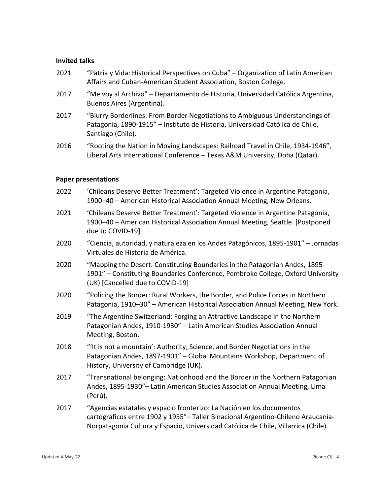#### **Invited talks**

- 2021 "Patria y Vida: Historical Perspectives on Cuba" Organization of Latin American Affairs and Cuban-American Student Association, Boston College.
- 2017 "Me voy al Archivo" Departamento de Historia, Universidad Católica Argentina, Buenos Aires (Argentina).
- 2017 "Blurry Borderlines: From Border Negotiations to Ambiguous Understandings of Patagonia, 1890-1915" – Instituto de Historia, Universidad Católica de Chile, Santiago (Chile).
- 2016 "Rooting the Nation in Moving Landscapes: Railroad Travel in Chile, 1934-1946", Liberal Arts International Conference – Texas A&M University, Doha (Qatar).

#### **Paper presentations**

- 2022 'Chileans Deserve Better Treatment': Targeted Violence in Argentine Patagonia, 1900–40 – American Historical Association Annual Meeting, New Orleans.
- 2021 'Chileans Deserve Better Treatment': Targeted Violence in Argentine Patagonia, 1900–40 – American Historical Association Annual Meeting, Seattle. [Postponed due to COVID-19]
- 2020 "Ciencia, autoridad, y naturaleza en los Andes Patagónicos, 1895-1901" Jornadas Virtuales de Historia de América.
- 2020 "Mapping the Desert: Constituting Boundaries in the Patagonian Andes, 1895- 1901" – Constituting Boundaries Conference, Pembroke College, Oxford University (UK) [Cancelled due to COVID-19]
- 2020 "Policing the Border: Rural Workers, the Border, and Police Forces in Northern Patagonia, 1910–30" – American Historical Association Annual Meeting, New York.
- 2019 "The Argentine Switzerland: Forging an Attractive Landscape in the Northern Patagonian Andes, 1910-1930" – Latin American Studies Association Annual Meeting, Boston.
- 2018 "'It is not a mountain': Authority, Science, and Border Negotiations in the Patagonian Andes, 1897-1901" – Global Mountains Workshop, Department of History, University of Cambridge (UK).
- 2017 "Transnational belonging: Nationhood and the Border in the Northern Patagonian Andes, 1895-1930"– Latin American Studies Association Annual Meeting, Lima (Perú).
- 2017 "Agencias estatales y espacio fronterizo: La Nación en los documentos cartográficos entre 1902 y 1955"– Taller Binacional Argentino-Chileno Araucanía-Norpatagonia Cultura y Espacio, Universidad Católica de Chile, Villarrica (Chile).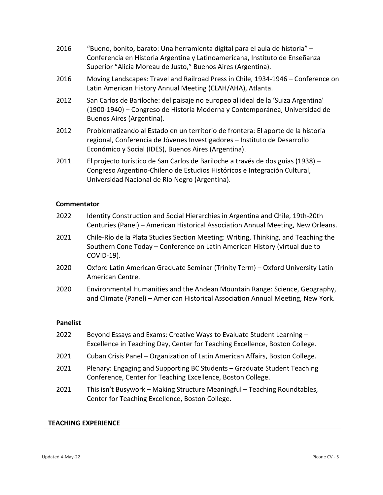- 2016 "Bueno, bonito, barato: Una herramienta digital para el aula de historia" Conferencia en Historia Argentina y Latinoamericana, Instituto de Enseñanza Superior "Alicia Moreau de Justo," Buenos Aires (Argentina).
- 2016 Moving Landscapes: Travel and Railroad Press in Chile, 1934-1946 Conference on Latin American History Annual Meeting (CLAH/AHA), Atlanta.
- 2012 San Carlos de Bariloche: del paisaje no europeo al ideal de la 'Suiza Argentina' (1900-1940) – Congreso de Historia Moderna y Contemporánea, Universidad de Buenos Aires (Argentina).
- 2012 Problematizando al Estado en un territorio de frontera: El aporte de la historia regional, Conferencia de Jóvenes Investigadores – Instituto de Desarrollo Económico y Social (IDES), Buenos Aires (Argentina).
- 2011 El projecto turístico de San Carlos de Bariloche a través de dos guías (1938) Congreso Argentino-Chileno de Estudios Históricos e Integración Cultural, Universidad Nacional de Río Negro (Argentina).

## **Commentator**

- 2022 Identity Construction and Social Hierarchies in Argentina and Chile, 19th-20th Centuries (Panel) – American Historical Association Annual Meeting, New Orleans.
- 2021 Chile-Río de la Plata Studies Section Meeting: Writing, Thinking, and Teaching the Southern Cone Today – Conference on Latin American History (virtual due to COVID-19).
- 2020 Oxford Latin American Graduate Seminar (Trinity Term) Oxford University Latin American Centre.
- 2020 Environmental Humanities and the Andean Mountain Range: Science, Geography, and Climate (Panel) – American Historical Association Annual Meeting, New York.

## **Panelist**

| 2022 | Beyond Essays and Exams: Creative Ways to Evaluate Student Learning -<br>Excellence in Teaching Day, Center for Teaching Excellence, Boston College. |
|------|------------------------------------------------------------------------------------------------------------------------------------------------------|
| 2021 | Cuban Crisis Panel – Organization of Latin American Affairs, Boston College.                                                                         |
| 2021 | Plenary: Engaging and Supporting BC Students - Graduate Student Teaching<br>Conference, Center for Teaching Excellence, Boston College.              |
| 2021 | This isn't Busywork - Making Structure Meaningful - Teaching Roundtables,<br>Center for Teaching Excellence, Boston College.                         |

## **TEACHING EXPERIENCE**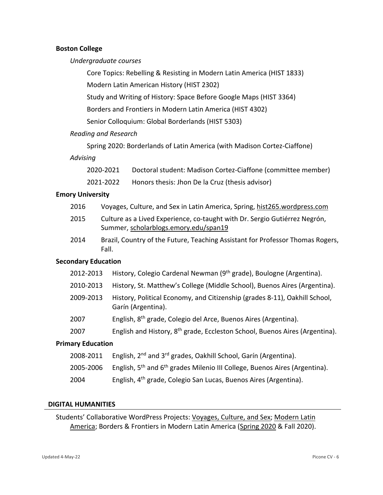#### **Boston College**

#### *Undergraduate courses*

Core Topics: Rebelling & Resisting in Modern Latin America (HIST 1833)

Modern Latin American History (HIST 2302)

Study and Writing of History: Space Before Google Maps (HIST 3364)

Borders and Frontiers in Modern Latin America (HIST 4302)

Senior Colloquium: Global Borderlands (HIST 5303)

# *Reading and Research*

Spring 2020: Borderlands of Latin America (with Madison Cortez-Ciaffone)

## *Advising*

| 2020-2021 | Doctoral student: Madison Cortez-Ciaffone (committee member) |
|-----------|--------------------------------------------------------------|
| 2021-2022 | Honors thesis: Jhon De la Cruz (thesis advisor)              |

# **Emory University**

- 2016 Voyages, Culture, and Sex in Latin America, Spring, hist265.wordpress.com
- 2015 Culture as a Lived Experience, co-taught with Dr. Sergio Gutiérrez Negrón, Summer, scholarblogs.emory.edu/span19
- 2014 Brazil, Country of the Future, Teaching Assistant for Professor Thomas Rogers, Fall.

# **Secondary Education**

- 2012-2013 History, Colegio Cardenal Newman (9<sup>th</sup> grade), Boulogne (Argentina).
- 2010-2013 History, St. Matthew's College (Middle School), Buenos Aires (Argentina).
- 2009-2013 History, Political Economy, and Citizenship (grades 8-11), Oakhill School, Garín (Argentina).
- 2007 English, 8th grade, Colegio del Arce, Buenos Aires (Argentina).
- 2007 English and History,  $8<sup>th</sup>$  grade, Eccleston School, Buenos Aires (Argentina).

# **Primary Education**

- 2008-2011 English, 2<sup>nd</sup> and 3<sup>rd</sup> grades, Oakhill School, Garín (Argentina).
- 2005-2006 English,  $5<sup>th</sup>$  and  $6<sup>th</sup>$  grades Milenio III College, Buenos Aires (Argentina).
- 2004 English, 4<sup>th</sup> grade, Colegio San Lucas, Buenos Aires (Argentina).

## **DIGITAL HUMANITIES**

Students' Collaborative WordPress Projects: Voyages, Culture, and Sex; Modern Latin America; Borders & Frontiers in Modern Latin America (Spring 2020 & Fall 2020).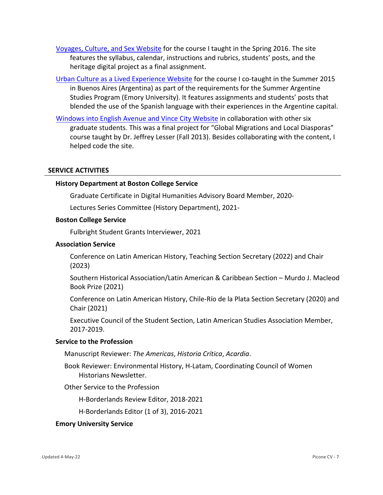Voyages, Culture, and Sex Website for the course I taught in the Spring 2016. The site features the syllabus, calendar, instructions and rubrics, students' posts, and the heritage digital project as a final assignment.

Urban Culture as a Lived Experience Website for the course I co-taught in the Summer 2015 in Buenos Aires (Argentina) as part of the requirements for the Summer Argentine Studies Program (Emory University). It features assignments and students' posts that blended the use of the Spanish language with their experiences in the Argentine capital.

Windows into English Avenue and Vince City Website in collaboration with other six graduate students. This was a final project for "Global Migrations and Local Diasporas" course taught by Dr. Jeffrey Lesser (Fall 2013). Besides collaborating with the content, I helped code the site.

# **SERVICE ACTIVITIES**

## **History Department at Boston College Service**

Graduate Certificate in Digital Humanities Advisory Board Member, 2020-

Lectures Series Committee (History Department), 2021-

## **Boston College Service**

Fulbright Student Grants Interviewer, 2021

#### **Association Service**

Conference on Latin American History, Teaching Section Secretary (2022) and Chair (2023)

Southern Historical Association/Latin American & Caribbean Section – Murdo J. Macleod Book Prize (2021)

Conference on Latin American History, Chile-Río de la Plata Section Secretary (2020) and Chair (2021)

Executive Council of the Student Section, Latin American Studies Association Member, 2017-2019.

## **Service to the Profession**

Manuscript Reviewer: *The Americas*, *Historia Crítica*, *Acardia*.

Book Reviewer: Environmental History, H-Latam, Coordinating Council of Women Historians Newsletter.

Other Service to the Profession

H-Borderlands Review Editor, 2018-2021

H-Borderlands Editor (1 of 3), 2016-2021

#### **Emory University Service**